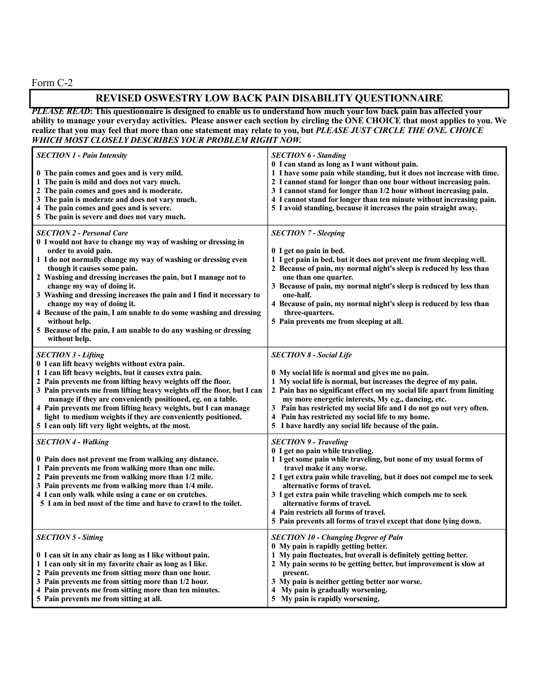Form C-2

## **REVISED OSWESTRY LOW BACK PAIN DISABILITY QUESTIONNAIRE**

*PLEASE READ***: This questionnaire is designed to enable us to understand how much your low back pain has affected your ability to manage your everyday activities. Please answer each section by circling the ONE CHOICE that most applies to you. We realize that you may feel that more than one statement may relate to you, but** *PLEASE JUST CIRCLE THE ONE. CHOICE WHICH MOST CLOSELY DESCRIBES YOUR PROBLEM RIGHT NOW.*

| <b>SECTION 1 - Pain Intensity</b><br>0 The pain comes and goes and is very mild.<br>1 The pain is mild and does not vary much.<br>2 The pain comes and goes and is moderate.<br>3 The pain is moderate and does not vary much.<br>4 The pain comes and goes and is severe.<br>5 The pain is severe and does not vary much.                                                                                                                                                                                                                                                                                  | <b>SECTION 6 - Standing</b><br>0 I can stand as long as I want without pain.<br>1 I have some pain while standing, but it does not increase with time.<br>2 I cannot stand for longer than one hour without increasing pain.<br>3 I cannot stand for longer than 1/2 hour without increasing pain.<br>4 I cannot stand for longer than ten minute without increasing pain.<br>5 I avoid standing, because it increases the pain straight away.                                         |
|-------------------------------------------------------------------------------------------------------------------------------------------------------------------------------------------------------------------------------------------------------------------------------------------------------------------------------------------------------------------------------------------------------------------------------------------------------------------------------------------------------------------------------------------------------------------------------------------------------------|----------------------------------------------------------------------------------------------------------------------------------------------------------------------------------------------------------------------------------------------------------------------------------------------------------------------------------------------------------------------------------------------------------------------------------------------------------------------------------------|
| <b>SECTION 2 - Personal Care</b><br>0 I would not have to change my way of washing or dressing in<br>order to avoid pain.<br>1 I do not normally change my way of washing or dressing even<br>though it causes some pain.<br>2 Washing and dressing increases the pain, but I manage not to<br>change my way of doing it.<br>3 Washing and dressing increases the pain and I find it necessary to<br>change my way of doing it.<br>4 Because of the pain, I am unable to do some washing and dressing<br>without help.<br>5 Because of the pain, I am unable to do any washing or dressing<br>without help. | <b>SECTION 7 - Sleeping</b><br>0 I get no pain in bed.<br>1 I get pain in bed, but it does not prevent me from sleeping well.<br>2 Because of pain, my normal night's sleep is reduced by less than<br>one than one quarter.<br>3 Because of pain, my normal night's sleep is reduced by less than<br>one-half.<br>4 Because of pain, my normal night's sleep is reduced by less than<br>three-quarters.<br>5 Pain prevents me from sleeping at all.                                   |
| <b>SECTION 3 - Lifting</b><br>0 I can lift heavy weights without extra pain.<br>1 I can lift heavy weights, but it causes extra pain.<br>2 Pain prevents me from lifting heavy weights off the floor.<br>3 Pain prevents me from lifting heavy weights off the floor, but I can<br>manage if they are conveniently positioned, eg. on a table.<br>4 Pain prevents me from lifting heavy weights, but I can manage<br>light to medium weights if they are conveniently positioned.<br>5 I can only lift very light weights, at the most.                                                                     | <b>SECTION 8 - Social Life</b><br>0 My social life is normal and gives me no pain.<br>1 My social life is normal, but increases the degree of my pain.<br>2 Pain has no significant effect on my social life apart from limiting<br>my more energetic interests, My e.g., dancing, etc.<br>3 Pain has restricted my social life and I do not go out very often.<br>4 Pain has restricted my social life to my home.<br>5 I have hardly any social life because of the pain.            |
| <b>SECTION 4 - Walking</b><br>0 Pain does not prevent me from walking any distance.<br>1 Pain prevents me from walking more than one mile.<br>2 Pain prevents me from walking more than 1/2 mile.<br>3 Pain prevents me from walking more than 1/4 mile.<br>4 I can only walk while using a cane or on crutches.<br>5 I am in bed most of the time and have to crawl to the toilet.                                                                                                                                                                                                                         | <b>SECTION 9 - Traveling</b><br>0 I get no pain while traveling.<br>1 I get some pain while traveling, but none of my usual forms of<br>travel make it any worse.<br>2 I get extra pain while traveling, but it does not compel me to seek<br>alternative forms of travel.<br>3 I get extra pain while traveling which compels me to seek<br>alternative forms of travel.<br>4 Pain restricts all forms of travel.<br>5 Pain prevents all forms of travel except that done lying down. |
| <b>SECTION 5 - Sitting</b><br>0 I can sit in any chair as long as I like without pain.<br>1 I can only sit in my favorite chair as long as I like.<br>2 Pain prevents me from sitting more than one hour.<br>3 Pain prevents me from sitting more than 1/2 hour.<br>4 Pain prevents me from sitting more than ten minutes.<br>5 Pain prevents me from sitting at all.                                                                                                                                                                                                                                       | <b>SECTION 10 - Changing Degree of Pain</b><br>0 My pain is rapidly getting better.<br>1 My pain fluctuates, but overall is definitely getting better.<br>2 My pain seems to be getting better, but improvement is slow at<br>present.<br>3 My pain is neither getting better nor worse.<br>4 My pain is gradually worsening.<br>5 My pain is rapidly worsening.                                                                                                                       |